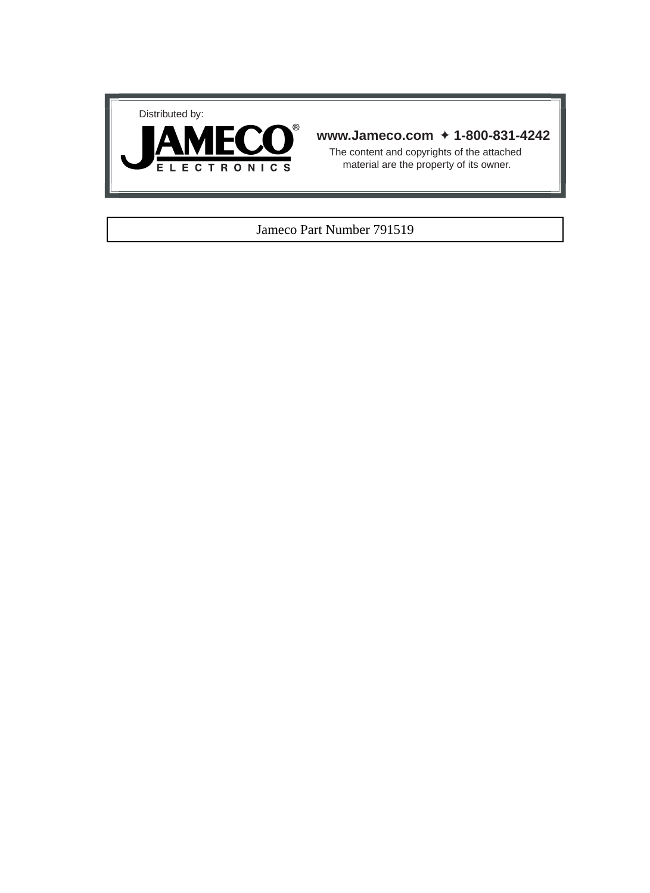



### **www.Jameco.com** ✦ **1-800-831-4242**

The content and copyrights of the attached material are the property of its owner.

### Jameco Part Number 791519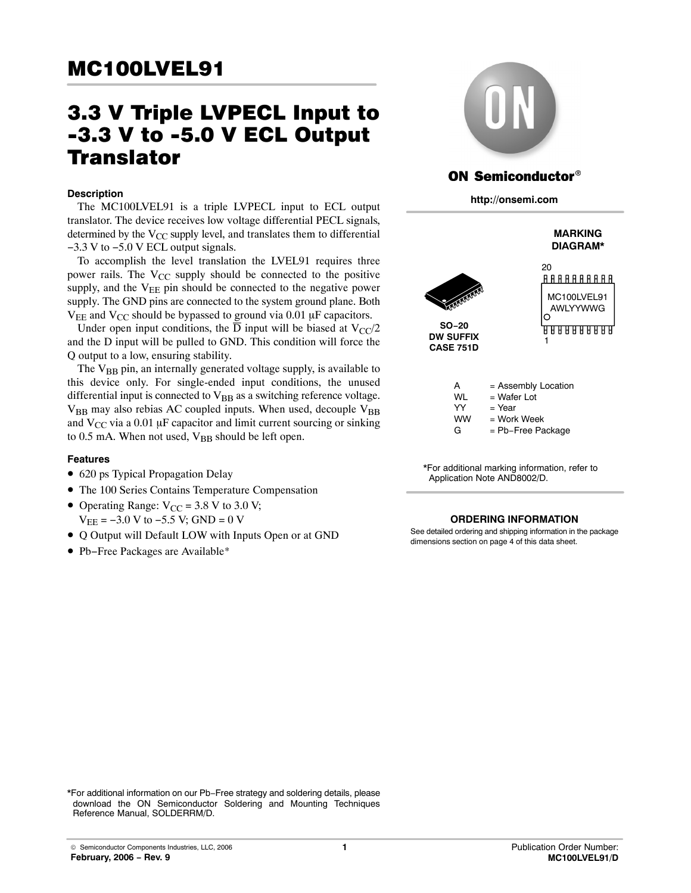# 3.3 V Triple LVPECL Input to −3.3 V to −5.0 V ECL Output **Translator**

#### **Description**

The MC100LVEL91 is a triple LVPECL input to ECL output translator. The device receives low voltage differential PECL signals, determined by the  $V_{CC}$  supply level, and translates them to differential −3.3 V to −5.0 V ECL output signals.

To accomplish the level translation the LVEL91 requires three power rails. The  $V_{CC}$  supply should be connected to the positive supply, and the  $V_{EE}$  pin should be connected to the negative power supply. The GND pins are connected to the system ground plane. Both  $V_{EE}$  and  $V_{CC}$  should be bypassed to ground via 0.01 µF capacitors.

Under open input conditions, the  $\overline{D}$  input will be biased at  $V_{\text{CC}}/2$ and the D input will be pulled to GND. This condition will force the Q output to a low, ensuring stability.

The V<sub>BB</sub> pin, an internally generated voltage supply, is available to this device only. For single-ended input conditions, the unused differential input is connected to  $V_{BB}$  as a switching reference voltage. V<sub>BB</sub> may also rebias AC coupled inputs. When used, decouple V<sub>BB</sub> and  $V_{CC}$  via a 0.01 µF capacitor and limit current sourcing or sinking to 0.5 mA. When not used,  $V_{BB}$  should be left open.

#### **Features**

- 620 ps Typical Propagation Delay
- The 100 Series Contains Temperature Compensation
- Operating Range:  $V_{CC}$  = 3.8 V to 3.0 V;  $V_{EE} = -3.0 V$  to  $-5.5 V$ ; GND = 0 V
- Q Output will Default LOW with Inputs Open or at GND
- Pb−Free Packages are Available\*



| = Assembly Location |
|---------------------|
| $=$ Wafer Lot       |
| = Year              |
| = Work Week         |
| $=$ Pb-Free Package |
|                     |

\*For additional marking information, refer to Application Note AND8002/D.

#### **ORDERING INFORMATION**

See detailed ordering and shipping information in the package dimensions section on page 4 of this data sheet.

\*For additional information on our Pb−Free strategy and soldering details, please download the ON Semiconductor Soldering and Mounting Techniques Reference Manual, SOLDERRM/D.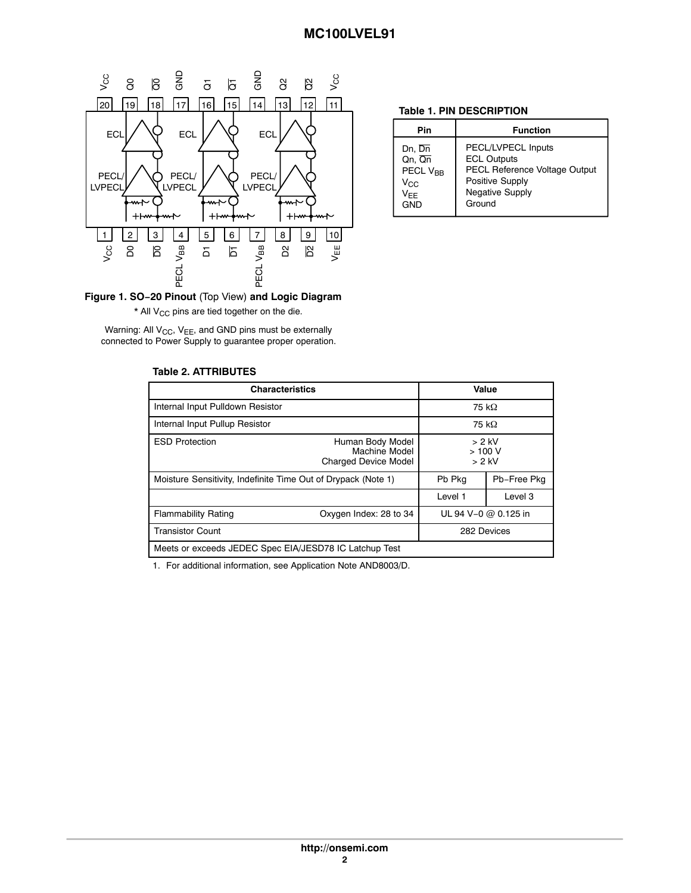

## **Figure 1. SO−20 Pinout** (Top View) **and Logic Diagram**

Warning: All  $V_{CC}$ ,  $V_{EE}$ , and GND pins must be externally connected to Power Supply to guarantee proper operation.

#### **Table 2. ATTRIBUTES**

| <b>Characteristics</b>                                        | Value                                                            |                               |             |
|---------------------------------------------------------------|------------------------------------------------------------------|-------------------------------|-------------|
| Internal Input Pulldown Resistor                              | 75 k $\Omega$                                                    |                               |             |
| Internal Input Pullup Resistor                                |                                                                  | 75 k $\Omega$                 |             |
| <b>ESD Protection</b>                                         | Human Body Model<br>Machine Model<br><b>Charged Device Model</b> | $> 2$ kV<br>>100V<br>$> 2$ kV |             |
| Moisture Sensitivity, Indefinite Time Out of Drypack (Note 1) |                                                                  | Pb Pkg                        | Pb-Free Pkg |
|                                                               |                                                                  | Level 1                       | Level 3     |
| <b>Flammability Rating</b>                                    | Oxygen Index: 28 to 34                                           | UL 94 V-0 @ 0.125 in          |             |
| <b>Transistor Count</b>                                       |                                                                  | 282 Devices                   |             |
| Meets or exceeds JEDEC Spec EIA/JESD78 IC Latchup Test        |                                                                  |                               |             |

1. For additional information, see Application Note AND8003/D.

### **Table 1. PIN DESCRIPTION**

| Pin                  | <b>Function</b>               |
|----------------------|-------------------------------|
| $Dn, \overline{Dn}$  | PECL/LVPECL Inputs            |
| Qn, Qn               | <b>ECL Outputs</b>            |
| PECL V <sub>BB</sub> | PECL Reference Voltage Output |
| Vcc.                 | Positive Supply               |
| $V_{EE}$             | Negative Supply               |
| GND                  | Ground                        |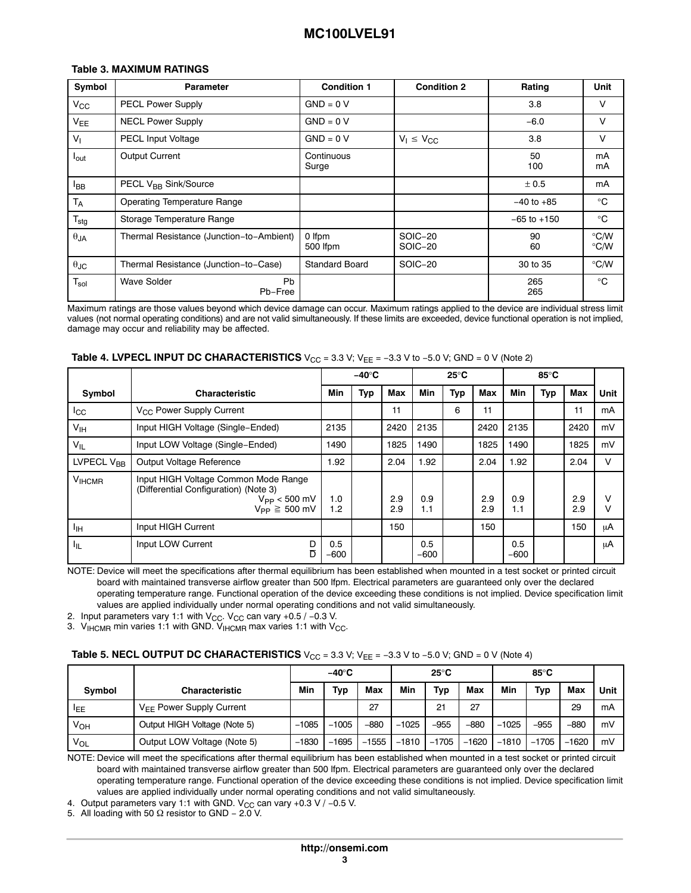#### **Table 3. MAXIMUM RATINGS**

| Symbol               | <b>Parameter</b>                         | <b>Condition 1</b>    | <b>Condition 2</b>        | Rating          | <b>Unit</b>                    |
|----------------------|------------------------------------------|-----------------------|---------------------------|-----------------|--------------------------------|
| $V_{\rm CC}$         | <b>PECL Power Supply</b>                 | $GND = 0 V$           |                           | 3.8             | V                              |
| $V_{EE}$             | <b>NECL Power Supply</b>                 | $GND = 0 V$           |                           | $-6.0$          | V                              |
| V <sub>I</sub>       | <b>PECL Input Voltage</b>                | $GND = 0 V$           | $V_1 \leq V_{CC}$         | 3.8             | $\vee$                         |
| l <sub>out</sub>     | Output Current                           | Continuous<br>Surge   |                           | 50<br>100       | mA<br>mA                       |
| <b>I</b> BB          | PECL V <sub>RR</sub> Sink/Source         |                       |                           | ± 0.5           | mA                             |
| $T_A$                | <b>Operating Temperature Range</b>       |                       |                           | $-40$ to $+85$  | $^{\circ}$ C                   |
| $T_{\text{stg}}$     | Storage Temperature Range                |                       |                           | $-65$ to $+150$ | $^{\circ}$ C                   |
| $\theta$ JA          | Thermal Resistance (Junction-to-Ambient) | 0 Ifpm<br>500 Ifpm    | <b>SOIC-20</b><br>SOIC-20 | 90<br>60        | $\degree$ C/W<br>$\degree$ C/W |
| $\theta_{\text{JC}}$ | Thermal Resistance (Junction-to-Case)    | <b>Standard Board</b> | <b>SOIC-20</b>            | 30 to 35        | $\degree$ C/W                  |
| $T_{sol}$            | Pb<br><b>Wave Solder</b><br>Pb-Free      |                       |                           | 265<br>265      | $^{\circ}$ C                   |

Maximum ratings are those values beyond which device damage can occur. Maximum ratings applied to the device are individual stress limit values (not normal operating conditions) and are not valid simultaneously. If these limits are exceeded, device functional operation is not implied, damage may occur and reliability may be affected.

### **Table 4. LVPECL INPUT DC CHARACTERISTICS** V<sub>CC</sub> = 3.3 V; V<sub>EE</sub> = −3.3 V to −5.0 V; GND = 0 V (Note 2)

|                        |                                                                                                                                   |               | $-40^\circ C$ |            | $25^{\circ}$ C |            |            |               |     |            |        |
|------------------------|-----------------------------------------------------------------------------------------------------------------------------------|---------------|---------------|------------|----------------|------------|------------|---------------|-----|------------|--------|
| Symbol                 | <b>Characteristic</b>                                                                                                             | Min           | Typ           | <b>Max</b> | Min            | <b>Typ</b> | <b>Max</b> | Min           | Typ | <b>Max</b> | Unit   |
| ICC                    | V <sub>CC</sub> Power Supply Current                                                                                              |               |               | 11         |                | 6          | 11         |               |     | 11         | mA     |
| $V_{\text{IH}}$        | Input HIGH Voltage (Single-Ended)                                                                                                 | 2135          |               | 2420       | 2135           |            | 2420       | 2135          |     | 2420       | mV     |
| $V_{IL}$               | Input LOW Voltage (Single-Ended)                                                                                                  | 1490          |               | 1825       | 1490           |            | 1825       | 1490          |     | 1825       | mV     |
| LVPECL V <sub>BB</sub> | Output Voltage Reference                                                                                                          | 1.92          |               | 2.04       | .92            |            | 2.04       | 1.92          |     | 2.04       | $\vee$ |
| <b>VIHCMR</b>          | Input HIGH Voltage Common Mode Range<br>(Differential Configuration) (Note 3)<br>$V_{\text{PP}}$ < 500 mV<br>$V_{PP} \geq 500$ mV | 1.0<br>1.2    |               | 2.9<br>2.9 | 0.9<br>1.1     |            | 2.9<br>2.9 | 0.9<br>1.1    |     | 2.9<br>2.9 | V<br>V |
| Чн                     | Input HIGH Current                                                                                                                |               |               | 150        |                |            | 150        |               |     | 150        | μA     |
| Կա                     | Input LOW Current<br>D<br>$\overline{D}$                                                                                          | 0.5<br>$-600$ |               |            | 0.5<br>$-600$  |            |            | 0.5<br>$-600$ |     |            | μA     |

NOTE: Device will meet the specifications after thermal equilibrium has been established when mounted in a test socket or printed circuit board with maintained transverse airflow greater than 500 lfpm. Electrical parameters are guaranteed only over the declared operating temperature range. Functional operation of the device exceeding these conditions is not implied. Device specification limit values are applied individually under normal operating conditions and not valid simultaneously.

2. Input parameters vary 1:1 with V<sub>CC</sub>. V<sub>CC</sub> can vary +0.5 / –0.3 V.

3.  $\rm V_{HCMR}$  min varies 1:1 with GND.  $\rm V_{HCMR}$  max varies 1:1 with  $\rm V_{CC}.$ 

#### **Table 5. NECL OUTPUT DC CHARACTERISTICS**  $V_{CC} = 3.3 V$ ;  $V_{EE} = -3.3 V$  to  $-5.0 V$ ; GND = 0 V (Note 4)

|                 |                               | $-40^\circ C$ |         | $25^{\circ}$ C |         |         |         |         |         |         |      |
|-----------------|-------------------------------|---------------|---------|----------------|---------|---------|---------|---------|---------|---------|------|
| <b>Symbol</b>   | <b>Characteristic</b>         | Min           | Typ     | Max            | Min     | Typ     | Max     | Min     | Typ     | Max     | Unit |
| <b>IEE</b>      | $V_{FF}$ Power Supply Current |               |         | 27             |         | 21      | 27      |         |         | 29      | mA   |
| V <sub>OH</sub> | Output HIGH Voltage (Note 5)  | $-1085$       | $-1005$ | $-880$         | $-1025$ | $-955$  | $-880$  | $-1025$ | $-955$  | $-880$  | mV   |
| V <sub>OL</sub> | Output LOW Voltage (Note 5)   | $-1830$       | $-1695$ | $-1555$        | $-1810$ | $-1705$ | $-1620$ | $-1810$ | $-1705$ | $-1620$ | mV   |

NOTE: Device will meet the specifications after thermal equilibrium has been established when mounted in a test socket or printed circuit board with maintained transverse airflow greater than 500 lfpm. Electrical parameters are guaranteed only over the declared operating temperature range. Functional operation of the device exceeding these conditions is not implied. Device specification limit values are applied individually under normal operating conditions and not valid simultaneously.

4. Output parameters vary 1:1 with GND. V<sub>CC</sub> can vary +0.3 V / -0.5 V.

5. All loading with 50  $Ω$  resistor to GND – 2.0 V.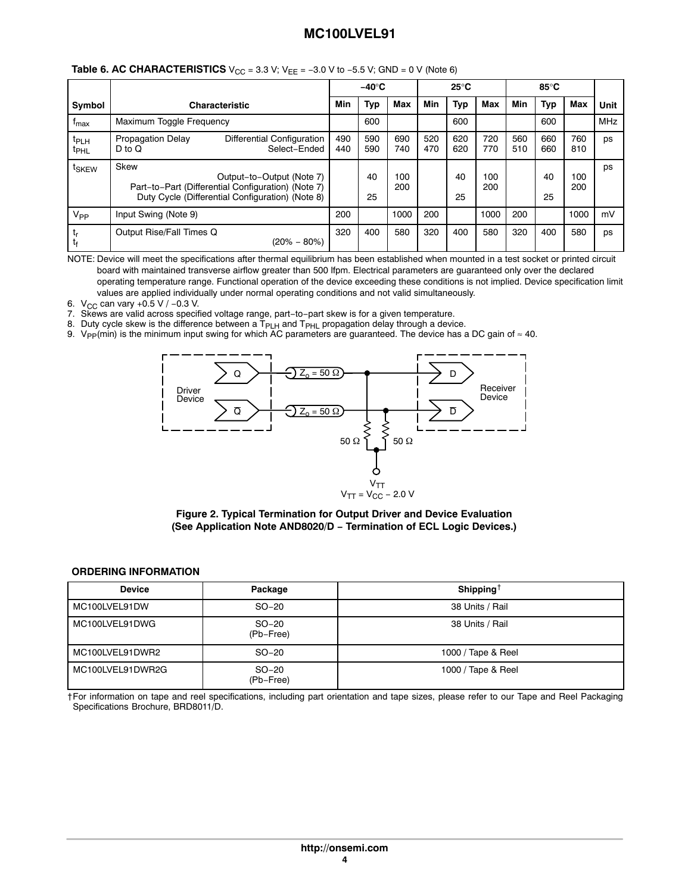|                                  |                                                                                                                                             |            | $-40^\circ C$ |            | $25^{\circ}$ C |            |            | 85°C       |            |            |            |
|----------------------------------|---------------------------------------------------------------------------------------------------------------------------------------------|------------|---------------|------------|----------------|------------|------------|------------|------------|------------|------------|
| Symbol                           | <b>Characteristic</b>                                                                                                                       | Min        | <b>Typ</b>    | Max        | Min            | <b>Typ</b> | <b>Max</b> | Min        | Typ        | Max        | Unit       |
| <b>I</b> max                     | Maximum Toggle Frequency                                                                                                                    |            | 600           |            |                | 600        |            |            | 600        |            | <b>MHz</b> |
| t <sub>PLH</sub><br><b>t</b> PHL | <b>Propagation Delay</b><br>Differential Configuration<br>Select-Ended<br>$D$ to $Q$                                                        | 490<br>440 | 590<br>590    | 690<br>740 | 520<br>470     | 620<br>620 | 720<br>770 | 560<br>510 | 660<br>660 | 760<br>810 | ps         |
| t <sub>SKEW</sub>                | Skew<br>Output-to-Output (Note 7)<br>Part-to-Part (Differential Configuration) (Note 7)<br>Duty Cycle (Differential Configuration) (Note 8) |            | 40<br>25      | 100<br>200 |                | 40<br>25   | 100<br>200 |            | 40<br>25   | 100<br>200 | ps         |
| V <sub>PP</sub>                  | Input Swing (Note 9)                                                                                                                        | 200        |               | 1000       | 200            |            | 1000       | 200        |            | 1000       | mV         |
| ւր<br>tr                         | Output Rise/Fall Times Q<br>(20% – 80%)                                                                                                     | 320        | 400           | 580        | 320            | 400        | 580        | 320        | 400        | 580        | ps         |

NOTE: Device will meet the specifications after thermal equilibrium has been established when mounted in a test socket or printed circuit board with maintained transverse airflow greater than 500 lfpm. Electrical parameters are guaranteed only over the declared operating temperature range. Functional operation of the device exceeding these conditions is not implied. Device specification limit values are applied individually under normal operating conditions and not valid simultaneously.

6. V<sub>CC</sub> can vary +0.5 V / -0.3 V.

7. Skews are valid across specified voltage range, part−to−part skew is for a given temperature.

8. Duty cycle skew is the difference between a  $T_{PIH}$  and  $T_{PH}$  propagation delay through a device.

9. V<sub>PP</sub>(min) is the minimum input swing for which AC parameters are guaranteed. The device has a DC gain of  $\approx$  40.



**Figure 2. Typical Termination for Output Driver and Device Evaluation (See Application Note AND8020/D − Termination of ECL Logic Devices.)**

#### **ORDERING INFORMATION**

| <b>Device</b>    | Package              | Shipping <sup><math>\dagger</math></sup> |
|------------------|----------------------|------------------------------------------|
| MC100LVEL91DW    | $SO-20$              | 38 Units / Rail                          |
| MC100LVEL91DWG   | $SO-20$<br>(Pb-Free) | 38 Units / Rail                          |
| MC100LVEL91DWR2  | $SO-20$              | 1000 / Tape & Reel                       |
| MC100LVEL91DWR2G | $SO-20$<br>(Pb-Free) | 1000 / Tape & Reel                       |

†For information on tape and reel specifications, including part orientation and tape sizes, please refer to our Tape and Reel Packaging Specifications Brochure, BRD8011/D.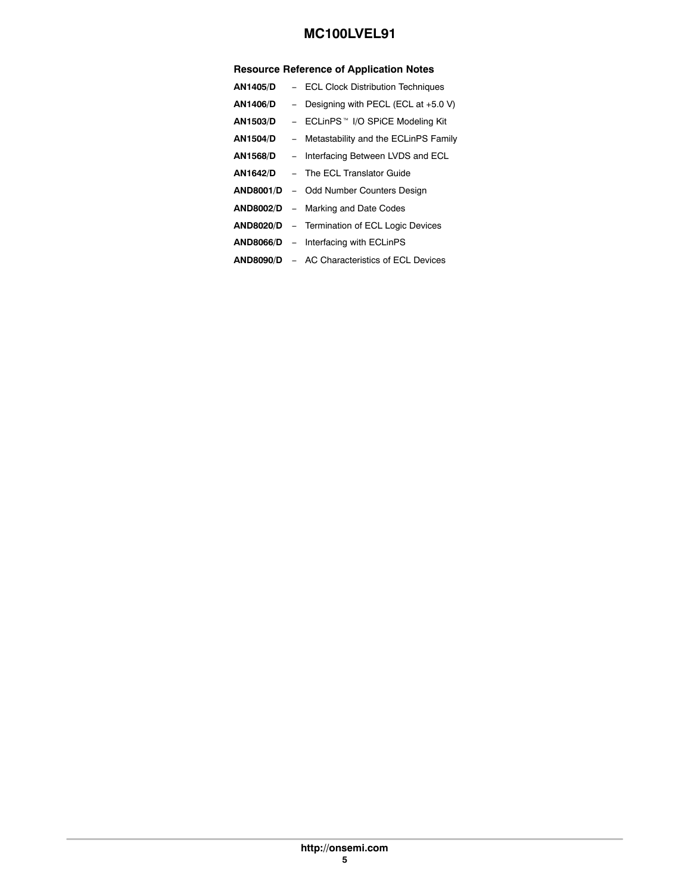### **Resource Reference of Application Notes**

| <b>AN1405/D</b>  | - ECL Clock Distribution Techniques                  |
|------------------|------------------------------------------------------|
| AN1406/D         | - Designing with PECL (ECL at $+5.0$ V)              |
| <b>AN1503/D</b>  | - ECLinPS™ I/O SPiCE Modeling Kit                    |
| AN1504/D         | - Metastability and the ECLinPS Family               |
| <b>AN1568/D</b>  | - Interfacing Between LVDS and ECL                   |
| AN1642/D         | - The ECL Translator Guide                           |
|                  | <b>AND8001/D</b> - Odd Number Counters Design        |
| <b>AND8002/D</b> | - Marking and Date Codes                             |
| <b>AND8020/D</b> | - Termination of ECL Logic Devices                   |
|                  | AND8066/D - Interfacing with ECLinPS                 |
|                  | <b>AND8090/D</b> – AC Characteristics of ECL Devices |
|                  |                                                      |